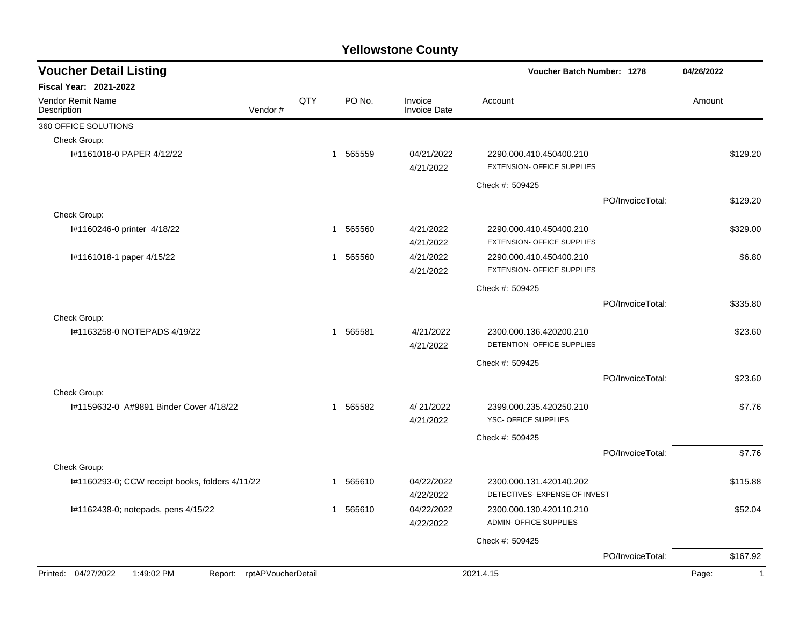| <b>Voucher Detail Listing</b>                                   |     |                        |                                | Voucher Batch Number: 1278                                   |                  | 04/26/2022            |
|-----------------------------------------------------------------|-----|------------------------|--------------------------------|--------------------------------------------------------------|------------------|-----------------------|
| Fiscal Year: 2021-2022                                          |     |                        |                                |                                                              |                  |                       |
| <b>Vendor Remit Name</b><br>Vendor#<br>Description              | QTY | PO No.                 | Invoice<br><b>Invoice Date</b> | Account                                                      |                  | Amount                |
| 360 OFFICE SOLUTIONS                                            |     |                        |                                |                                                              |                  |                       |
| Check Group:                                                    |     |                        |                                |                                                              |                  |                       |
| I#1161018-0 PAPER 4/12/22                                       |     | 565559<br>$\mathbf{1}$ | 04/21/2022<br>4/21/2022        | 2290.000.410.450400.210<br><b>EXTENSION- OFFICE SUPPLIES</b> |                  | \$129.20              |
|                                                                 |     |                        |                                | Check #: 509425                                              |                  |                       |
|                                                                 |     |                        |                                |                                                              | PO/InvoiceTotal: | \$129.20              |
| Check Group:                                                    |     |                        |                                |                                                              |                  |                       |
| I#1160246-0 printer 4/18/22                                     | 1   | 565560                 | 4/21/2022<br>4/21/2022         | 2290.000.410.450400.210<br><b>EXTENSION- OFFICE SUPPLIES</b> |                  | \$329.00              |
| I#1161018-1 paper 4/15/22                                       | 1   | 565560                 | 4/21/2022<br>4/21/2022         | 2290.000.410.450400.210<br><b>EXTENSION- OFFICE SUPPLIES</b> |                  | \$6.80                |
|                                                                 |     |                        |                                | Check #: 509425                                              |                  |                       |
|                                                                 |     |                        |                                |                                                              | PO/InvoiceTotal: | \$335.80              |
| Check Group:                                                    |     |                        |                                |                                                              |                  |                       |
| #1163258-0 NOTEPADS 4/19/22                                     |     | 565581<br>$\mathbf{1}$ | 4/21/2022<br>4/21/2022         | 2300.000.136.420200.210<br>DETENTION- OFFICE SUPPLIES        |                  | \$23.60               |
|                                                                 |     |                        |                                | Check #: 509425                                              |                  |                       |
|                                                                 |     |                        |                                |                                                              | PO/InvoiceTotal: | \$23.60               |
| Check Group:                                                    |     |                        |                                |                                                              |                  |                       |
| 1#1159632-0 A#9891 Binder Cover 4/18/22                         |     | 565582<br>$\mathbf{1}$ | 4/21/2022<br>4/21/2022         | 2399.000.235.420250.210<br>YSC- OFFICE SUPPLIES              |                  | \$7.76                |
|                                                                 |     |                        |                                | Check #: 509425                                              |                  |                       |
|                                                                 |     |                        |                                |                                                              | PO/InvoiceTotal: | \$7.76                |
| Check Group:                                                    |     |                        |                                |                                                              |                  |                       |
| I#1160293-0; CCW receipt books, folders 4/11/22                 |     | 565610<br>$\mathbf{1}$ | 04/22/2022<br>4/22/2022        | 2300.000.131.420140.202<br>DETECTIVES- EXPENSE OF INVEST     |                  | \$115.88              |
| I#1162438-0; notepads, pens 4/15/22                             |     | 565610<br>1            | 04/22/2022<br>4/22/2022        | 2300.000.130.420110.210<br><b>ADMIN- OFFICE SUPPLIES</b>     |                  | \$52.04               |
|                                                                 |     |                        |                                | Check #: 509425                                              |                  |                       |
|                                                                 |     |                        |                                |                                                              | PO/InvoiceTotal: | \$167.92              |
| Printed: 04/27/2022<br>1:49:02 PM<br>Report: rptAPVoucherDetail |     |                        |                                | 2021.4.15                                                    |                  | Page:<br>$\mathbf{1}$ |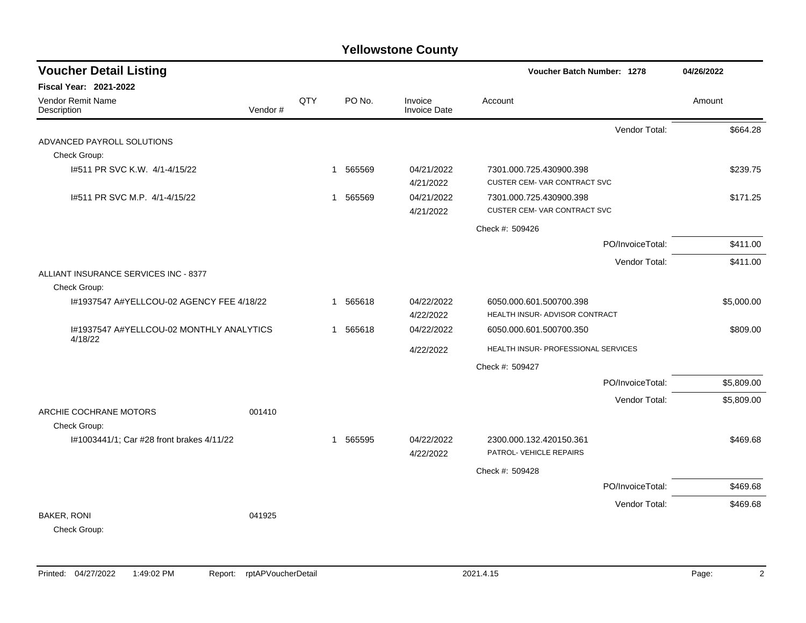| <b>Voucher Detail Listing</b>                       |         |     |                          |                                | Voucher Batch Number: 1278                               | 04/26/2022 |
|-----------------------------------------------------|---------|-----|--------------------------|--------------------------------|----------------------------------------------------------|------------|
| Fiscal Year: 2021-2022                              |         |     |                          |                                |                                                          |            |
| Vendor Remit Name<br>Description                    | Vendor# | QTY | PO No.                   | Invoice<br><b>Invoice Date</b> | Account                                                  | Amount     |
|                                                     |         |     |                          |                                | Vendor Total:                                            | \$664.28   |
| ADVANCED PAYROLL SOLUTIONS                          |         |     |                          |                                |                                                          |            |
| Check Group:                                        |         |     |                          |                                |                                                          |            |
| 1#511 PR SVC K.W. 4/1-4/15/22                       |         |     | 565569<br>$\overline{1}$ | 04/21/2022<br>4/21/2022        | 7301.000.725.430900.398<br>CUSTER CEM-VAR CONTRACT SVC   | \$239.75   |
| I#511 PR SVC M.P. 4/1-4/15/22                       |         |     | 565569<br>$\mathbf{1}$   | 04/21/2022<br>4/21/2022        | 7301.000.725.430900.398<br>CUSTER CEM-VAR CONTRACT SVC   | \$171.25   |
|                                                     |         |     |                          |                                | Check #: 509426                                          |            |
|                                                     |         |     |                          |                                | PO/InvoiceTotal:                                         | \$411.00   |
|                                                     |         |     |                          |                                | Vendor Total:                                            | \$411.00   |
| ALLIANT INSURANCE SERVICES INC - 8377               |         |     |                          |                                |                                                          |            |
| Check Group:                                        |         |     |                          |                                |                                                          |            |
| I#1937547 A#YELLCOU-02 AGENCY FEE 4/18/22           |         |     | 1 565618                 | 04/22/2022<br>4/22/2022        | 6050.000.601.500700.398<br>HEALTH INSUR-ADVISOR CONTRACT | \$5,000.00 |
| 1#1937547 A#YELLCOU-02 MONTHLY ANALYTICS<br>4/18/22 |         |     | 565618<br>$\mathbf{1}$   | 04/22/2022                     | 6050.000.601.500700.350                                  | \$809.00   |
|                                                     |         |     |                          | 4/22/2022                      | HEALTH INSUR- PROFESSIONAL SERVICES                      |            |
|                                                     |         |     |                          |                                | Check #: 509427                                          |            |
|                                                     |         |     |                          |                                | PO/InvoiceTotal:                                         | \$5,809.00 |
| ARCHIE COCHRANE MOTORS                              | 001410  |     |                          |                                | Vendor Total:                                            | \$5,809.00 |
| Check Group:                                        |         |     |                          |                                |                                                          |            |
| I#1003441/1; Car #28 front brakes 4/11/22           |         |     | 565595<br>$\mathbf{1}$   | 04/22/2022<br>4/22/2022        | 2300.000.132.420150.361<br>PATROL- VEHICLE REPAIRS       | \$469.68   |
|                                                     |         |     |                          |                                | Check #: 509428                                          |            |
|                                                     |         |     |                          |                                | PO/InvoiceTotal:                                         | \$469.68   |
|                                                     |         |     |                          |                                | Vendor Total:                                            | \$469.68   |
| <b>BAKER, RONI</b><br>Check Group:                  | 041925  |     |                          |                                |                                                          |            |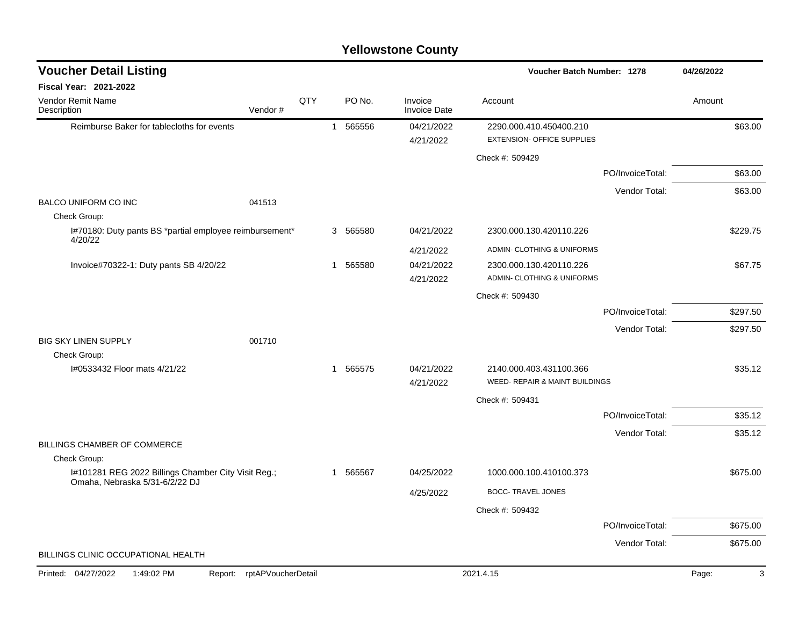| <b>Voucher Detail Listing</b>                                                         |                    |     |              |          |                                | Voucher Batch Number: 1278                                |                  | 04/26/2022 |
|---------------------------------------------------------------------------------------|--------------------|-----|--------------|----------|--------------------------------|-----------------------------------------------------------|------------------|------------|
| Fiscal Year: 2021-2022                                                                |                    |     |              |          |                                |                                                           |                  |            |
| Vendor Remit Name<br>Description                                                      | Vendor#            | QTY |              | PO No.   | Invoice<br><b>Invoice Date</b> | Account                                                   |                  | Amount     |
| Reimburse Baker for tablecloths for events                                            |                    |     | $\mathbf{1}$ | 565556   | 04/21/2022                     | 2290.000.410.450400.210                                   |                  | \$63.00    |
|                                                                                       |                    |     |              |          | 4/21/2022                      | <b>EXTENSION- OFFICE SUPPLIES</b>                         |                  |            |
|                                                                                       |                    |     |              |          |                                | Check #: 509429                                           |                  |            |
|                                                                                       |                    |     |              |          |                                |                                                           | PO/InvoiceTotal: | \$63.00    |
|                                                                                       |                    |     |              |          |                                |                                                           | Vendor Total:    | \$63.00    |
| <b>BALCO UNIFORM CO INC</b><br>Check Group:                                           | 041513             |     |              |          |                                |                                                           |                  |            |
| I#70180: Duty pants BS *partial employee reimbursement*<br>4/20/22                    |                    |     |              | 3 565580 | 04/21/2022                     | 2300.000.130.420110.226                                   |                  | \$229.75   |
|                                                                                       |                    |     |              |          | 4/21/2022                      | ADMIN- CLOTHING & UNIFORMS                                |                  |            |
| Invoice#70322-1: Duty pants SB 4/20/22                                                |                    |     |              | 1 565580 | 04/21/2022                     | 2300.000.130.420110.226                                   |                  | \$67.75    |
|                                                                                       |                    |     |              |          | 4/21/2022                      | ADMIN- CLOTHING & UNIFORMS                                |                  |            |
|                                                                                       |                    |     |              |          |                                | Check #: 509430                                           |                  |            |
|                                                                                       |                    |     |              |          |                                |                                                           | PO/InvoiceTotal: | \$297.50   |
|                                                                                       |                    |     |              |          |                                |                                                           | Vendor Total:    | \$297.50   |
| <b>BIG SKY LINEN SUPPLY</b>                                                           | 001710             |     |              |          |                                |                                                           |                  |            |
| Check Group:                                                                          |                    |     |              |          |                                |                                                           |                  |            |
| I#0533432 Floor mats 4/21/22                                                          |                    |     |              | 1 565575 | 04/21/2022<br>4/21/2022        | 2140.000.403.431100.366<br>WEED- REPAIR & MAINT BUILDINGS |                  | \$35.12    |
|                                                                                       |                    |     |              |          |                                | Check #: 509431                                           |                  |            |
|                                                                                       |                    |     |              |          |                                |                                                           | PO/InvoiceTotal: | \$35.12    |
|                                                                                       |                    |     |              |          |                                |                                                           |                  |            |
| BILLINGS CHAMBER OF COMMERCE                                                          |                    |     |              |          |                                |                                                           | Vendor Total:    | \$35.12    |
| Check Group:                                                                          |                    |     |              |          |                                |                                                           |                  |            |
| I#101281 REG 2022 Billings Chamber City Visit Reg.;<br>Omaha, Nebraska 5/31-6/2/22 DJ |                    |     | $\mathbf{1}$ | 565567   | 04/25/2022                     | 1000.000.100.410100.373                                   |                  | \$675.00   |
|                                                                                       |                    |     |              |          | 4/25/2022                      | <b>BOCC- TRAVEL JONES</b>                                 |                  |            |
|                                                                                       |                    |     |              |          |                                | Check #: 509432                                           |                  |            |
|                                                                                       |                    |     |              |          |                                |                                                           | PO/InvoiceTotal: | \$675.00   |
|                                                                                       |                    |     |              |          |                                |                                                           | Vendor Total:    | \$675.00   |
| BILLINGS CLINIC OCCUPATIONAL HEALTH                                                   |                    |     |              |          |                                |                                                           |                  |            |
| Printed: 04/27/2022<br>1:49:02 PM<br>Report:                                          | rptAPVoucherDetail |     |              |          |                                | 2021.4.15                                                 |                  | 3<br>Page: |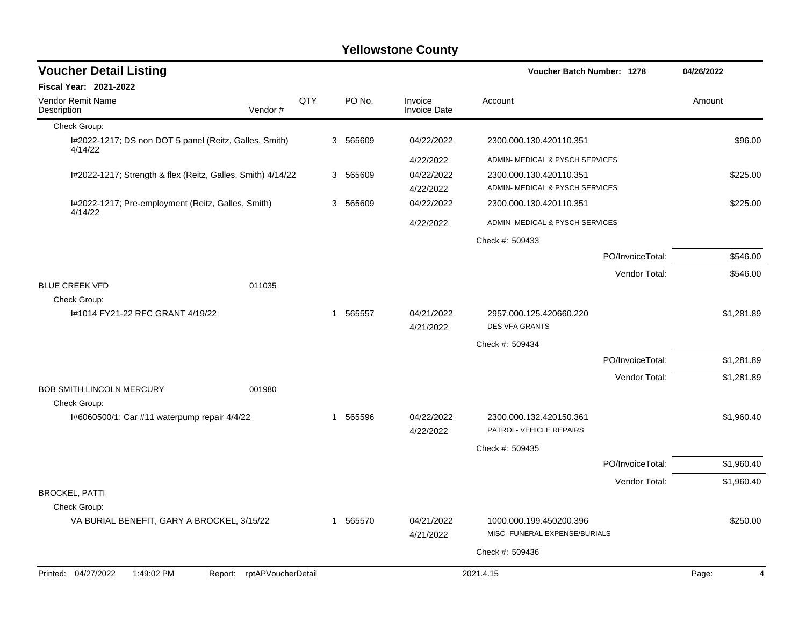| <b>Voucher Detail Listing</b>                                      |     |          |                                | <b>Voucher Batch Number: 1278</b>                        |                  | 04/26/2022              |
|--------------------------------------------------------------------|-----|----------|--------------------------------|----------------------------------------------------------|------------------|-------------------------|
| <b>Fiscal Year: 2021-2022</b>                                      |     |          |                                |                                                          |                  |                         |
| <b>Vendor Remit Name</b><br>Description<br>Vendor#                 | QTY | PO No.   | Invoice<br><b>Invoice Date</b> | Account                                                  |                  | Amount                  |
| Check Group:                                                       |     |          |                                |                                                          |                  |                         |
| I#2022-1217; DS non DOT 5 panel (Reitz, Galles, Smith)<br>4/14/22  |     | 3 565609 | 04/22/2022                     | 2300.000.130.420110.351                                  |                  | \$96.00                 |
|                                                                    |     |          | 4/22/2022                      | ADMIN- MEDICAL & PYSCH SERVICES                          |                  |                         |
| I#2022-1217; Strength & flex (Reitz, Galles, Smith) 4/14/22        |     | 3 565609 | 04/22/2022                     | 2300.000.130.420110.351                                  |                  | \$225.00                |
|                                                                    |     |          | 4/22/2022                      | ADMIN- MEDICAL & PYSCH SERVICES                          |                  |                         |
| I#2022-1217; Pre-employment (Reitz, Galles, Smith)<br>4/14/22      |     | 3 565609 | 04/22/2022                     | 2300.000.130.420110.351                                  |                  | \$225.00                |
|                                                                    |     |          | 4/22/2022                      | ADMIN- MEDICAL & PYSCH SERVICES                          |                  |                         |
|                                                                    |     |          |                                | Check #: 509433                                          |                  |                         |
|                                                                    |     |          |                                |                                                          | PO/InvoiceTotal: | \$546.00                |
| <b>BLUE CREEK VFD</b><br>011035                                    |     |          |                                |                                                          | Vendor Total:    | \$546.00                |
| Check Group:                                                       |     |          |                                |                                                          |                  |                         |
| #1014 FY21-22 RFC GRANT 4/19/22                                    |     | 1 565557 | 04/21/2022<br>4/21/2022        | 2957.000.125.420660.220<br><b>DES VFA GRANTS</b>         |                  | \$1,281.89              |
|                                                                    |     |          |                                | Check #: 509434                                          |                  |                         |
|                                                                    |     |          |                                |                                                          | PO/InvoiceTotal: | \$1,281.89              |
|                                                                    |     |          |                                |                                                          | Vendor Total:    | \$1,281.89              |
| <b>BOB SMITH LINCOLN MERCURY</b><br>001980<br>Check Group:         |     |          |                                |                                                          |                  |                         |
| I#6060500/1; Car #11 waterpump repair 4/4/22                       |     | 1 565596 | 04/22/2022<br>4/22/2022        | 2300.000.132.420150.361<br>PATROL- VEHICLE REPAIRS       |                  | \$1,960.40              |
|                                                                    |     |          |                                | Check #: 509435                                          |                  |                         |
|                                                                    |     |          |                                |                                                          | PO/InvoiceTotal: | \$1,960.40              |
|                                                                    |     |          |                                |                                                          | Vendor Total:    | \$1,960.40              |
| <b>BROCKEL, PATTI</b>                                              |     |          |                                |                                                          |                  |                         |
| Check Group:                                                       |     |          | 04/21/2022                     |                                                          |                  | \$250.00                |
| VA BURIAL BENEFIT, GARY A BROCKEL, 3/15/22                         |     | 1 565570 | 4/21/2022                      | 1000.000.199.450200.396<br>MISC- FUNERAL EXPENSE/BURIALS |                  |                         |
|                                                                    |     |          |                                | Check #: 509436                                          |                  |                         |
| Printed: 04/27/2022<br>1:49:02 PM<br>rptAPVoucherDetail<br>Report: |     |          |                                | 2021.4.15                                                |                  | Page:<br>$\overline{4}$ |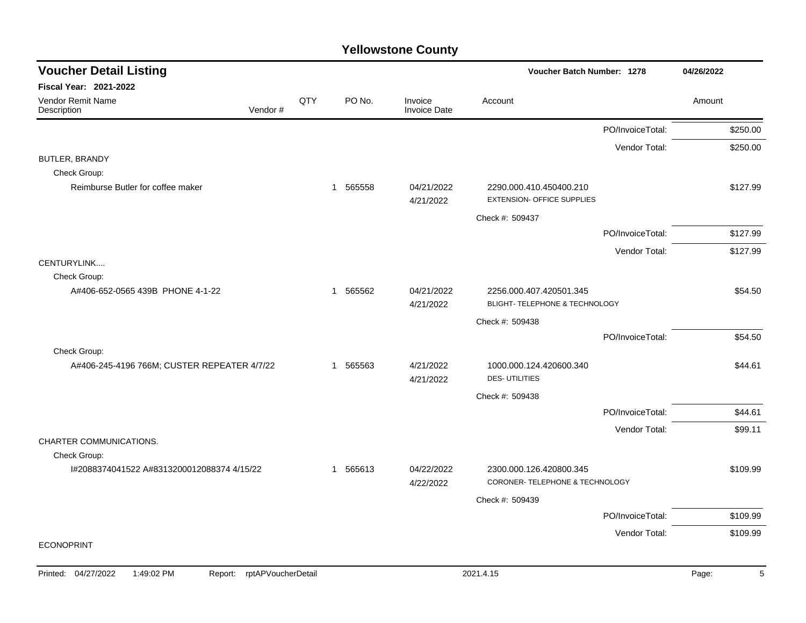| <b>Voucher Detail Listing</b>               |     |          |                                | Voucher Batch Number: 1278                                   |                  | 04/26/2022 |
|---------------------------------------------|-----|----------|--------------------------------|--------------------------------------------------------------|------------------|------------|
| Fiscal Year: 2021-2022                      |     |          |                                |                                                              |                  |            |
| Vendor Remit Name<br>Vendor#<br>Description | QTY | PO No.   | Invoice<br><b>Invoice Date</b> | Account                                                      |                  | Amount     |
|                                             |     |          |                                |                                                              | PO/InvoiceTotal: | \$250.00   |
|                                             |     |          |                                |                                                              | Vendor Total:    | \$250.00   |
| <b>BUTLER, BRANDY</b>                       |     |          |                                |                                                              |                  |            |
| Check Group:                                |     |          |                                |                                                              |                  |            |
| Reimburse Butler for coffee maker           |     | 1 565558 | 04/21/2022<br>4/21/2022        | 2290.000.410.450400.210<br><b>EXTENSION- OFFICE SUPPLIES</b> |                  | \$127.99   |
|                                             |     |          |                                | Check #: 509437                                              |                  |            |
|                                             |     |          |                                |                                                              | PO/InvoiceTotal: | \$127.99   |
|                                             |     |          |                                |                                                              | Vendor Total:    | \$127.99   |
| CENTURYLINK                                 |     |          |                                |                                                              |                  |            |
| Check Group:                                |     |          |                                |                                                              |                  |            |
| A#406-652-0565 439B PHONE 4-1-22            |     | 1 565562 | 04/21/2022<br>4/21/2022        | 2256.000.407.420501.345<br>BLIGHT- TELEPHONE & TECHNOLOGY    |                  | \$54.50    |
|                                             |     |          |                                | Check #: 509438                                              |                  |            |
|                                             |     |          |                                |                                                              | PO/InvoiceTotal: | \$54.50    |
| Check Group:                                |     |          |                                |                                                              |                  |            |
| A#406-245-4196 766M; CUSTER REPEATER 4/7/22 |     | 1 565563 | 4/21/2022<br>4/21/2022         | 1000.000.124.420600.340<br><b>DES-UTILITIES</b>              |                  | \$44.61    |
|                                             |     |          |                                | Check #: 509438                                              |                  |            |
|                                             |     |          |                                |                                                              | PO/InvoiceTotal: | \$44.61    |
|                                             |     |          |                                |                                                              | Vendor Total:    | \$99.11    |
| CHARTER COMMUNICATIONS.                     |     |          |                                |                                                              |                  |            |
| Check Group:                                |     |          |                                |                                                              |                  |            |
| I#2088374041522 A#8313200012088374 4/15/22  |     | 1 565613 | 04/22/2022<br>4/22/2022        | 2300.000.126.420800.345<br>CORONER- TELEPHONE & TECHNOLOGY   |                  | \$109.99   |
|                                             |     |          |                                | Check #: 509439                                              |                  |            |
|                                             |     |          |                                |                                                              | PO/InvoiceTotal: | \$109.99   |
|                                             |     |          |                                |                                                              | Vendor Total:    | \$109.99   |
| <b>ECONOPRINT</b>                           |     |          |                                |                                                              |                  |            |
|                                             |     |          |                                |                                                              |                  |            |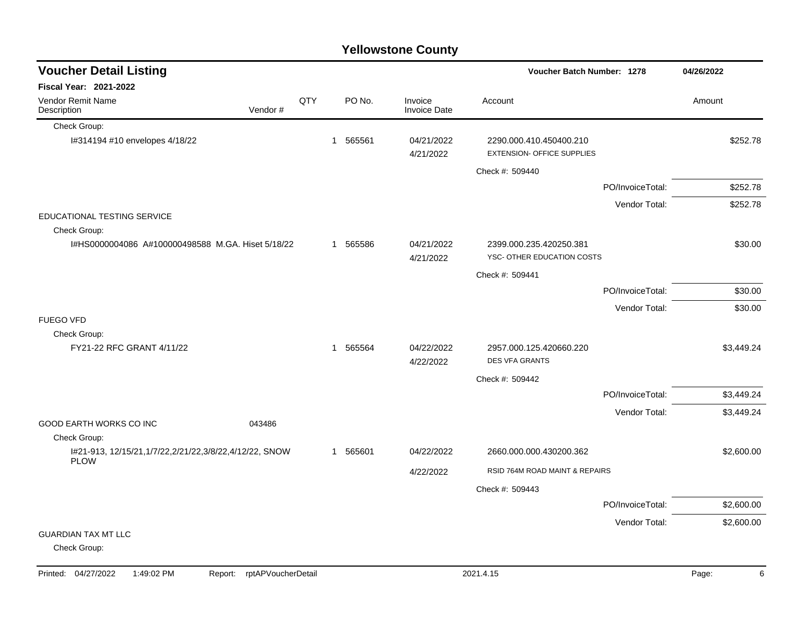|                                                                           |     |   |          | <b>Yellowstone County</b>      |                                                              |                  |            |
|---------------------------------------------------------------------------|-----|---|----------|--------------------------------|--------------------------------------------------------------|------------------|------------|
| <b>Voucher Detail Listing</b>                                             |     |   |          |                                | Voucher Batch Number: 1278                                   |                  | 04/26/2022 |
| <b>Fiscal Year: 2021-2022</b>                                             |     |   |          |                                |                                                              |                  |            |
| <b>Vendor Remit Name</b><br>Vendor#<br>Description                        | QTY |   | PO No.   | Invoice<br><b>Invoice Date</b> | Account                                                      |                  | Amount     |
| Check Group:                                                              |     |   |          |                                |                                                              |                  |            |
| I#314194 #10 envelopes 4/18/22                                            |     | 1 | 565561   | 04/21/2022<br>4/21/2022        | 2290.000.410.450400.210<br><b>EXTENSION- OFFICE SUPPLIES</b> |                  | \$252.78   |
|                                                                           |     |   |          |                                | Check #: 509440                                              |                  |            |
|                                                                           |     |   |          |                                |                                                              | PO/InvoiceTotal: | \$252.78   |
|                                                                           |     |   |          |                                |                                                              | Vendor Total:    | \$252.78   |
| EDUCATIONAL TESTING SERVICE<br>Check Group:                               |     |   |          |                                |                                                              |                  |            |
| I#HS0000004086 A#100000498588 M.GA. Hiset 5/18/22                         |     |   | 1 565586 | 04/21/2022<br>4/21/2022        | 2399.000.235.420250.381<br>YSC- OTHER EDUCATION COSTS        |                  | \$30.00    |
|                                                                           |     |   |          |                                | Check #: 509441                                              |                  |            |
|                                                                           |     |   |          |                                |                                                              | PO/InvoiceTotal: | \$30.00    |
|                                                                           |     |   |          |                                |                                                              | Vendor Total:    | \$30.00    |
| <b>FUEGO VFD</b>                                                          |     |   |          |                                |                                                              |                  |            |
| Check Group:<br>FY21-22 RFC GRANT 4/11/22                                 |     |   | 1 565564 | 04/22/2022                     | 2957.000.125.420660.220                                      |                  | \$3,449.24 |
|                                                                           |     |   |          | 4/22/2022                      | <b>DES VFA GRANTS</b>                                        |                  |            |
|                                                                           |     |   |          |                                | Check #: 509442                                              |                  |            |
|                                                                           |     |   |          |                                |                                                              | PO/InvoiceTotal: | \$3,449.24 |
|                                                                           |     |   |          |                                |                                                              | Vendor Total:    | \$3,449.24 |
| GOOD EARTH WORKS CO INC<br>043486<br>Check Group:                         |     |   |          |                                |                                                              |                  |            |
| I#21-913, 12/15/21, 1/7/22, 2/21/22, 3/8/22, 4/12/22, SNOW<br><b>PLOW</b> |     |   | 1 565601 | 04/22/2022                     | 2660.000.000.430200.362                                      |                  | \$2,600.00 |
|                                                                           |     |   |          | 4/22/2022                      | RSID 764M ROAD MAINT & REPAIRS                               |                  |            |
|                                                                           |     |   |          |                                | Check #: 509443                                              |                  |            |
|                                                                           |     |   |          |                                |                                                              | PO/InvoiceTotal: | \$2,600.00 |
|                                                                           |     |   |          |                                |                                                              | Vendor Total:    | \$2,600.00 |
| <b>GUARDIAN TAX MT LLC</b><br>Check Group:                                |     |   |          |                                |                                                              |                  |            |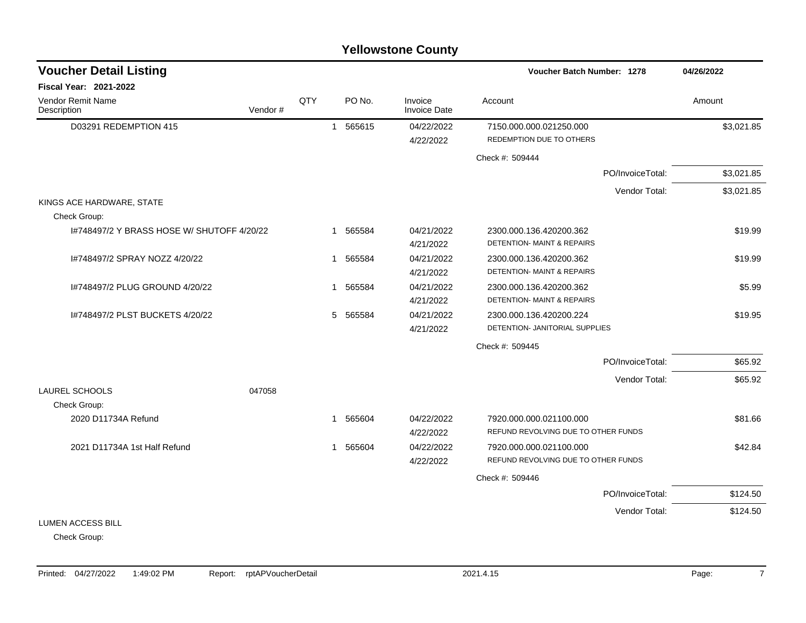|                                            |         |     |                        | <b>Yellowstone County</b> |                                                                  |            |
|--------------------------------------------|---------|-----|------------------------|---------------------------|------------------------------------------------------------------|------------|
| <b>Voucher Detail Listing</b>              |         |     |                        |                           | <b>Voucher Batch Number: 1278</b>                                | 04/26/2022 |
| Fiscal Year: 2021-2022                     |         |     |                        |                           |                                                                  |            |
| <b>Vendor Remit Name</b><br>Description    | Vendor# | QTY | PO No.                 | Invoice<br>Invoice Date   | Account                                                          | Amount     |
| D03291 REDEMPTION 415                      |         |     | 565615<br>$\mathbf{1}$ | 04/22/2022<br>4/22/2022   | 7150.000.000.021250.000<br>REDEMPTION DUE TO OTHERS              | \$3,021.85 |
|                                            |         |     |                        |                           | Check #: 509444                                                  |            |
|                                            |         |     |                        |                           | PO/InvoiceTotal:                                                 | \$3,021.85 |
|                                            |         |     |                        |                           | Vendor Total:                                                    | \$3,021.85 |
| KINGS ACE HARDWARE, STATE<br>Check Group:  |         |     |                        |                           |                                                                  |            |
| 1#748497/2 Y BRASS HOSE W/ SHUTOFF 4/20/22 |         |     | 565584<br>$\mathbf{1}$ | 04/21/2022<br>4/21/2022   | 2300.000.136.420200.362<br><b>DETENTION- MAINT &amp; REPAIRS</b> | \$19.99    |
| I#748497/2 SPRAY NOZZ 4/20/22              |         |     | 565584<br>$\mathbf{1}$ | 04/21/2022<br>4/21/2022   | 2300.000.136.420200.362<br>DETENTION- MAINT & REPAIRS            | \$19.99    |
| 1#748497/2 PLUG GROUND 4/20/22             |         |     | 565584<br>$\mathbf 1$  | 04/21/2022<br>4/21/2022   | 2300.000.136.420200.362<br>DETENTION- MAINT & REPAIRS            | \$5.99     |
| I#748497/2 PLST BUCKETS 4/20/22            |         |     | 5 565584               | 04/21/2022<br>4/21/2022   | 2300.000.136.420200.224<br>DETENTION- JANITORIAL SUPPLIES        | \$19.95    |
|                                            |         |     |                        |                           | Check #: 509445                                                  |            |
|                                            |         |     |                        |                           | PO/InvoiceTotal:                                                 | \$65.92    |
|                                            |         |     |                        |                           | Vendor Total:                                                    | \$65.92    |
| <b>LAUREL SCHOOLS</b><br>Check Group:      | 047058  |     |                        |                           |                                                                  |            |
| 2020 D11734A Refund                        |         |     | 565604<br>$\mathbf 1$  | 04/22/2022<br>4/22/2022   | 7920.000.000.021100.000<br>REFUND REVOLVING DUE TO OTHER FUNDS   | \$81.66    |
| 2021 D11734A 1st Half Refund               |         |     | 1 565604               | 04/22/2022<br>4/22/2022   | 7920.000.000.021100.000<br>REFUND REVOLVING DUE TO OTHER FUNDS   | \$42.84    |
|                                            |         |     |                        |                           | Check #: 509446                                                  |            |
|                                            |         |     |                        |                           | PO/InvoiceTotal:                                                 | \$124.50   |
|                                            |         |     |                        |                           | Vendor Total:                                                    | \$124.50   |
| <b>LUMEN ACCESS BILL</b>                   |         |     |                        |                           |                                                                  |            |
| Chook Croup:                               |         |     |                        |                           |                                                                  |            |

Check Group: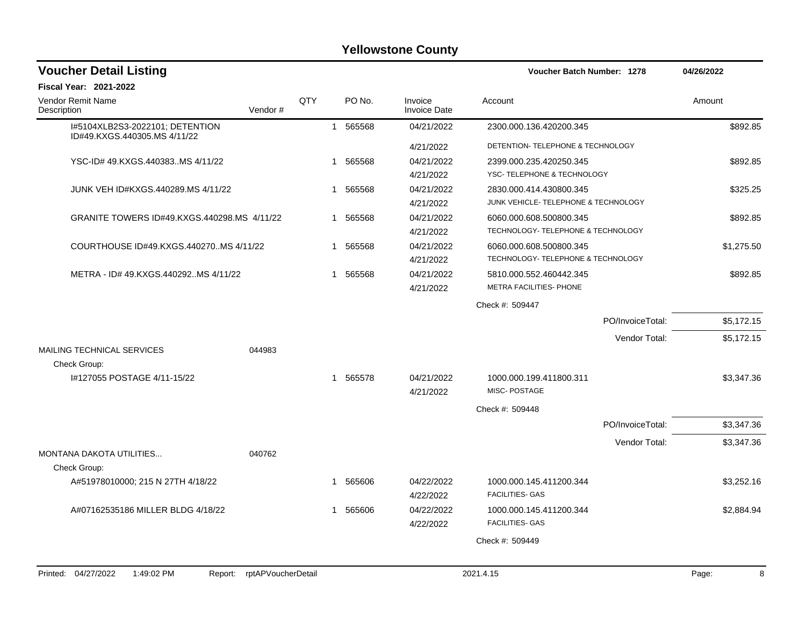| <b>Voucher Detail Listing</b>                                                                                            |                                                                                                                                                                                               |     |              |          |                                | <b>Voucher Batch Number: 1278</b>    |                  | 04/26/2022    |
|--------------------------------------------------------------------------------------------------------------------------|-----------------------------------------------------------------------------------------------------------------------------------------------------------------------------------------------|-----|--------------|----------|--------------------------------|--------------------------------------|------------------|---------------|
| Fiscal Year: 2021-2022                                                                                                   |                                                                                                                                                                                               |     |              |          |                                |                                      |                  |               |
| Vendor Remit Name<br>Description                                                                                         | Vendor#                                                                                                                                                                                       | QTY |              | PO No.   | Invoice<br><b>Invoice Date</b> | Account                              |                  | Amount        |
| I#5104XLB2S3-2022101; DETENTION<br>ID#49.KXGS.440305.MS 4/11/22                                                          |                                                                                                                                                                                               |     |              | 1 565568 | 04/21/2022                     | 2300.000.136.420200.345              |                  | \$892.85      |
|                                                                                                                          |                                                                                                                                                                                               |     |              |          | 4/21/2022                      | DETENTION- TELEPHONE & TECHNOLOGY    |                  |               |
| YSC-ID#49.KXGS.440383MS4/11/22                                                                                           |                                                                                                                                                                                               |     | -1           | 565568   | 04/21/2022                     | 2399.000.235.420250.345              |                  | \$892.85      |
|                                                                                                                          |                                                                                                                                                                                               |     |              |          | 4/21/2022                      | YSC- TELEPHONE & TECHNOLOGY          |                  |               |
| JUNK VEH ID#KXGS.440289.MS 4/11/22                                                                                       |                                                                                                                                                                                               |     | $\mathbf{1}$ | 565568   | 04/21/2022                     | 2830.000.414.430800.345              |                  | \$325.25      |
|                                                                                                                          |                                                                                                                                                                                               |     |              |          | 4/21/2022                      | JUNK VEHICLE- TELEPHONE & TECHNOLOGY |                  |               |
| GRANITE TOWERS ID#49.KXGS.440298.MS 4/11/22                                                                              |                                                                                                                                                                                               |     | 1            | 565568   | 04/21/2022                     | 6060.000.608.500800.345              |                  | \$892.85      |
|                                                                                                                          |                                                                                                                                                                                               |     |              |          | 4/21/2022                      | TECHNOLOGY- TELEPHONE & TECHNOLOGY   |                  |               |
| COURTHOUSE ID#49.KXGS.440270MS 4/11/22                                                                                   |                                                                                                                                                                                               |     | -1           | 565568   | 04/21/2022                     | 6060.000.608.500800.345              |                  | \$1,275.50    |
|                                                                                                                          |                                                                                                                                                                                               |     |              |          | 4/21/2022                      | TECHNOLOGY- TELEPHONE & TECHNOLOGY   |                  |               |
| METRA - ID# 49.KXGS.440292MS 4/11/22                                                                                     |                                                                                                                                                                                               |     | 1            | 565568   | 04/21/2022                     | 5810.000.552.460442.345              |                  | \$892.85      |
|                                                                                                                          |                                                                                                                                                                                               |     |              |          | 4/21/2022                      | METRA FACILITIES- PHONE              |                  |               |
|                                                                                                                          |                                                                                                                                                                                               |     |              |          |                                | Check #: 509447                      |                  |               |
|                                                                                                                          |                                                                                                                                                                                               |     |              |          |                                |                                      | PO/InvoiceTotal: | \$5,172.15    |
|                                                                                                                          |                                                                                                                                                                                               |     |              |          |                                |                                      | Vendor Total:    | \$5,172.15    |
| MAILING TECHNICAL SERVICES<br>Check Group:                                                                               | 044983                                                                                                                                                                                        |     |              |          |                                |                                      |                  |               |
| I#127055 POSTAGE 4/11-15/22                                                                                              |                                                                                                                                                                                               |     |              | 1 565578 | 04/21/2022                     | 1000.000.199.411800.311              |                  | \$3,347.36    |
|                                                                                                                          |                                                                                                                                                                                               |     |              |          | 4/21/2022                      | MISC-POSTAGE                         |                  |               |
|                                                                                                                          |                                                                                                                                                                                               |     |              |          |                                | Check #: 509448                      |                  |               |
|                                                                                                                          |                                                                                                                                                                                               |     |              |          |                                |                                      | PO/InvoiceTotal: | \$3,347.36    |
|                                                                                                                          |                                                                                                                                                                                               |     |              |          |                                |                                      | Vendor Total:    | \$3,347.36    |
| MONTANA DAKOTA UTILITIES                                                                                                 | 040762                                                                                                                                                                                        |     |              |          |                                |                                      |                  |               |
| Check Group:                                                                                                             |                                                                                                                                                                                               |     |              |          |                                |                                      |                  |               |
| A#51978010000; 215 N 27TH 4/18/22                                                                                        |                                                                                                                                                                                               |     | $\mathbf 1$  | 565606   | 04/22/2022                     | 1000.000.145.411200.344              |                  | \$3,252.16    |
|                                                                                                                          |                                                                                                                                                                                               |     |              |          | 4/22/2022                      | <b>FACILITIES- GAS</b>               |                  |               |
| A#07162535186 MILLER BLDG 4/18/22                                                                                        |                                                                                                                                                                                               |     | 1            | 565606   | 04/22/2022                     | 1000.000.145.411200.344              |                  | \$2,884.94    |
|                                                                                                                          |                                                                                                                                                                                               |     |              |          | 4/22/2022                      | <b>FACILITIES- GAS</b>               |                  |               |
|                                                                                                                          |                                                                                                                                                                                               |     |              |          |                                | Check #: 509449                      |                  |               |
|                                                                                                                          |                                                                                                                                                                                               |     |              |          |                                |                                      |                  |               |
| $\overline{1}$ $\overline{1}$ $\overline{0}$ $\overline{0}$ $\overline{0}$ $\overline{1}$<br>$1 - 1 - 0$<br>$\mathbf{D}$ | $m + A$ $\mathbf{D}$ $\mathbf{L}$ $\mathbf{L}$ $\mathbf{L}$ $\mathbf{L}$ $\mathbf{L}$ $\mathbf{L}$ $\mathbf{L}$ $\mathbf{L}$ $\mathbf{L}$ $\mathbf{L}$ $\mathbf{L}$ $\mathbf{L}$ $\mathbf{L}$ |     |              |          |                                | $0.001 \pm 1.7$                      |                  | $R_{\rm max}$ |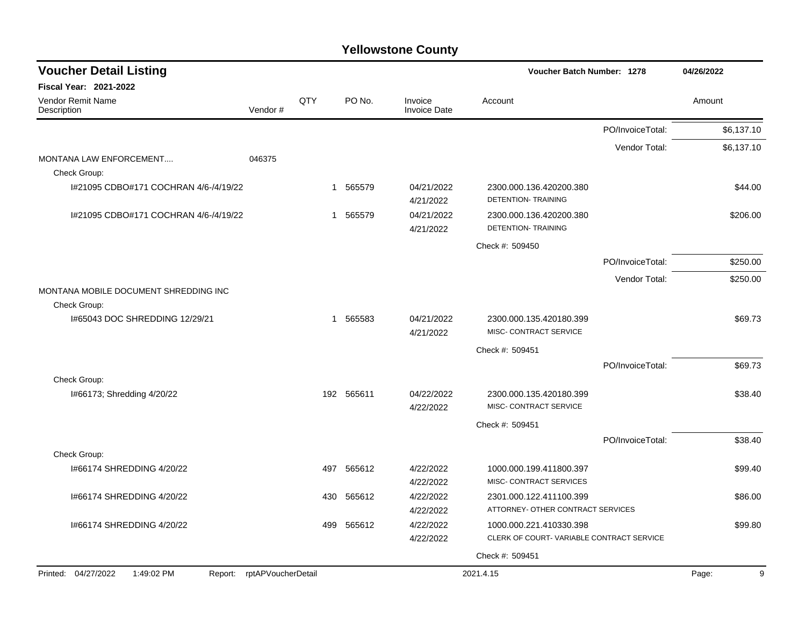| <b>Voucher Detail Listing</b>                         |                            |     |            |                                | <b>Voucher Batch Number: 1278</b>                                   |                  | 04/26/2022 |
|-------------------------------------------------------|----------------------------|-----|------------|--------------------------------|---------------------------------------------------------------------|------------------|------------|
| <b>Fiscal Year: 2021-2022</b>                         |                            |     |            |                                |                                                                     |                  |            |
| Vendor Remit Name<br>Description                      | Vendor#                    | QTY | PO No.     | Invoice<br><b>Invoice Date</b> | Account                                                             |                  | Amount     |
|                                                       |                            |     |            |                                |                                                                     | PO/InvoiceTotal: | \$6,137.10 |
|                                                       |                            |     |            |                                |                                                                     | Vendor Total:    | \$6,137.10 |
| MONTANA LAW ENFORCEMENT<br>Check Group:               | 046375                     |     |            |                                |                                                                     |                  |            |
| I#21095 CDBO#171 COCHRAN 4/6-/4/19/22                 |                            | 1   | 565579     | 04/21/2022<br>4/21/2022        | 2300.000.136.420200.380<br>DETENTION- TRAINING                      |                  | \$44.00    |
| 1#21095 CDBO#171 COCHRAN 4/6-/4/19/22                 |                            | 1   | 565579     | 04/21/2022<br>4/21/2022        | 2300.000.136.420200.380<br><b>DETENTION- TRAINING</b>               |                  | \$206.00   |
|                                                       |                            |     |            |                                | Check #: 509450                                                     |                  |            |
|                                                       |                            |     |            |                                |                                                                     | PO/InvoiceTotal: | \$250.00   |
|                                                       |                            |     |            |                                |                                                                     | Vendor Total:    | \$250.00   |
| MONTANA MOBILE DOCUMENT SHREDDING INC<br>Check Group: |                            |     |            |                                |                                                                     |                  |            |
| 1#65043 DOC SHREDDING 12/29/21                        |                            | 1   | 565583     | 04/21/2022<br>4/21/2022        | 2300.000.135.420180.399<br>MISC- CONTRACT SERVICE                   |                  | \$69.73    |
|                                                       |                            |     |            |                                | Check #: 509451                                                     |                  |            |
|                                                       |                            |     |            |                                |                                                                     | PO/InvoiceTotal: | \$69.73    |
| Check Group:                                          |                            |     |            |                                |                                                                     |                  |            |
| I#66173; Shredding 4/20/22                            |                            |     | 192 565611 | 04/22/2022<br>4/22/2022        | 2300.000.135.420180.399<br>MISC- CONTRACT SERVICE                   |                  | \$38.40    |
|                                                       |                            |     |            |                                | Check #: 509451                                                     |                  |            |
|                                                       |                            |     |            |                                |                                                                     | PO/InvoiceTotal: | \$38.40    |
| Check Group:                                          |                            |     |            |                                |                                                                     |                  |            |
| 1#66174 SHREDDING 4/20/22                             |                            | 497 | 565612     | 4/22/2022<br>4/22/2022         | 1000.000.199.411800.397<br>MISC- CONTRACT SERVICES                  |                  | \$99.40    |
| 1#66174 SHREDDING 4/20/22                             |                            | 430 | 565612     | 4/22/2022<br>4/22/2022         | 2301.000.122.411100.399<br>ATTORNEY- OTHER CONTRACT SERVICES        |                  | \$86.00    |
| 1#66174 SHREDDING 4/20/22                             |                            | 499 | 565612     | 4/22/2022<br>4/22/2022         | 1000.000.221.410330.398<br>CLERK OF COURT-VARIABLE CONTRACT SERVICE |                  | \$99.80    |
|                                                       |                            |     |            |                                | Check #: 509451                                                     |                  |            |
| Printed: 04/27/2022<br>1:49:02 PM                     | Report: rptAPVoucherDetail |     |            |                                | 2021.4.15                                                           |                  | 9<br>Page: |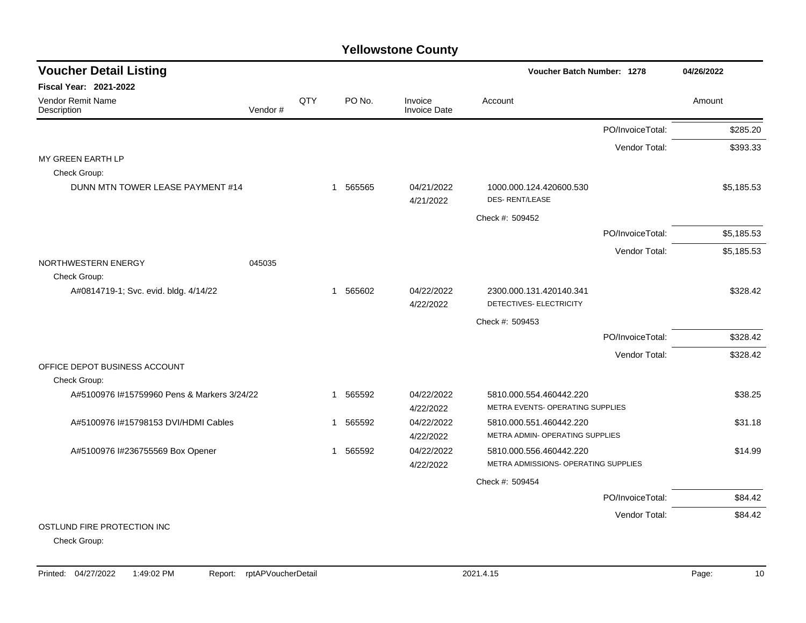| <b>Voucher Detail Listing</b>                 |         |     |             | <b>Voucher Batch Number: 1278</b> |                                                    | 04/26/2022       |            |
|-----------------------------------------------|---------|-----|-------------|-----------------------------------|----------------------------------------------------|------------------|------------|
| <b>Fiscal Year: 2021-2022</b>                 |         |     |             |                                   |                                                    |                  |            |
| Vendor Remit Name<br>Description              | Vendor# | QTY | PO No.      | Invoice<br><b>Invoice Date</b>    | Account                                            |                  | Amount     |
|                                               |         |     |             |                                   |                                                    | PO/InvoiceTotal: | \$285.20   |
|                                               |         |     |             |                                   |                                                    | Vendor Total:    | \$393.33   |
| MY GREEN EARTH LP                             |         |     |             |                                   |                                                    |                  |            |
| Check Group:                                  |         |     |             |                                   |                                                    |                  |            |
| DUNN MTN TOWER LEASE PAYMENT #14              |         |     | 1 565565    | 04/21/2022<br>4/21/2022           | 1000.000.124.420600.530<br><b>DES- RENT/LEASE</b>  |                  | \$5,185.53 |
|                                               |         |     |             |                                   | Check #: 509452                                    |                  |            |
|                                               |         |     |             |                                   |                                                    | PO/InvoiceTotal: | \$5,185.53 |
|                                               |         |     |             |                                   |                                                    | Vendor Total:    | \$5,185.53 |
| NORTHWESTERN ENERGY<br>Check Group:           | 045035  |     |             |                                   |                                                    |                  |            |
| A#0814719-1; Svc. evid. bldg. 4/14/22         |         |     | 1 565602    | 04/22/2022<br>4/22/2022           | 2300.000.131.420140.341<br>DETECTIVES- ELECTRICITY |                  | \$328.42   |
|                                               |         |     |             |                                   | Check #: 509453                                    |                  |            |
|                                               |         |     |             |                                   |                                                    | PO/InvoiceTotal: | \$328.42   |
|                                               |         |     |             |                                   |                                                    | Vendor Total:    | \$328.42   |
| OFFICE DEPOT BUSINESS ACCOUNT<br>Check Group: |         |     |             |                                   |                                                    |                  |            |
| A#5100976 #15759960 Pens & Markers 3/24/22    |         |     | 565592      | 04/22/2022                        | 5810.000.554.460442.220                            |                  | \$38.25    |
|                                               |         |     |             | 4/22/2022                         | METRA EVENTS- OPERATING SUPPLIES                   |                  |            |
| A#5100976 I#15798153 DVI/HDMI Cables          |         |     | 565592<br>1 | 04/22/2022                        | 5810.000.551.460442.220                            |                  | \$31.18    |
|                                               |         |     |             | 4/22/2022                         | METRA ADMIN- OPERATING SUPPLIES                    |                  |            |
| A#5100976 I#236755569 Box Opener              |         |     | 565592<br>1 | 04/22/2022                        | 5810.000.556.460442.220                            |                  | \$14.99    |
|                                               |         |     |             | 4/22/2022                         | METRA ADMISSIONS- OPERATING SUPPLIES               |                  |            |
|                                               |         |     |             |                                   | Check #: 509454                                    |                  |            |
|                                               |         |     |             |                                   |                                                    | PO/InvoiceTotal: | \$84.42    |
|                                               |         |     |             |                                   |                                                    | Vendor Total:    | \$84.42    |
| OSTLUND FIRE PROTECTION INC                   |         |     |             |                                   |                                                    |                  |            |
| Check Group:                                  |         |     |             |                                   |                                                    |                  |            |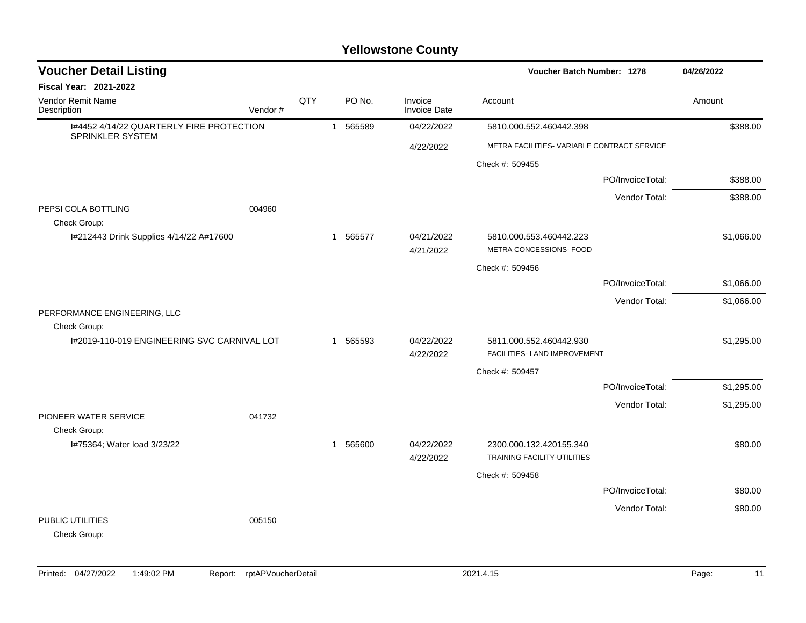| <b>Voucher Detail Listing</b>                                |         |     |              |          |                         |                                                         | Voucher Batch Number: 1278 |            |  |  |
|--------------------------------------------------------------|---------|-----|--------------|----------|-------------------------|---------------------------------------------------------|----------------------------|------------|--|--|
| <b>Fiscal Year: 2021-2022</b>                                |         |     |              |          |                         |                                                         |                            |            |  |  |
| Vendor Remit Name<br>Description                             | Vendor# | QTY |              | PO No.   | Invoice<br>Invoice Date | Account                                                 |                            | Amount     |  |  |
| 1#4452 4/14/22 QUARTERLY FIRE PROTECTION<br>SPRINKLER SYSTEM |         |     | $\mathbf{1}$ | 565589   | 04/22/2022              | 5810.000.552.460442.398                                 |                            | \$388.00   |  |  |
|                                                              |         |     |              |          | 4/22/2022               | METRA FACILITIES- VARIABLE CONTRACT SERVICE             |                            |            |  |  |
|                                                              |         |     |              |          |                         | Check #: 509455                                         |                            |            |  |  |
|                                                              |         |     |              |          |                         |                                                         | PO/InvoiceTotal:           | \$388.00   |  |  |
| PEPSI COLA BOTTLING<br>Check Group:                          | 004960  |     |              |          |                         |                                                         | Vendor Total:              | \$388.00   |  |  |
| I#212443 Drink Supplies 4/14/22 A#17600                      |         |     |              | 1 565577 | 04/21/2022<br>4/21/2022 | 5810.000.553.460442.223<br>METRA CONCESSIONS- FOOD      |                            | \$1,066.00 |  |  |
|                                                              |         |     |              |          |                         | Check #: 509456                                         |                            |            |  |  |
|                                                              |         |     |              |          |                         |                                                         | PO/InvoiceTotal:           | \$1,066.00 |  |  |
| PERFORMANCE ENGINEERING, LLC<br>Check Group:                 |         |     |              |          |                         |                                                         | Vendor Total:              | \$1,066.00 |  |  |
| I#2019-110-019 ENGINEERING SVC CARNIVAL LOT                  |         |     |              | 1 565593 | 04/22/2022<br>4/22/2022 | 5811.000.552.460442.930<br>FACILITIES- LAND IMPROVEMENT |                            | \$1,295.00 |  |  |
|                                                              |         |     |              |          |                         | Check #: 509457                                         |                            |            |  |  |
|                                                              |         |     |              |          |                         |                                                         | PO/InvoiceTotal:           | \$1,295.00 |  |  |
| PIONEER WATER SERVICE<br>Check Group:                        | 041732  |     |              |          |                         |                                                         | Vendor Total:              | \$1,295.00 |  |  |
| I#75364; Water load 3/23/22                                  |         |     |              | 1 565600 | 04/22/2022<br>4/22/2022 | 2300.000.132.420155.340<br>TRAINING FACILITY-UTILITIES  |                            | \$80.00    |  |  |
|                                                              |         |     |              |          |                         | Check #: 509458                                         |                            |            |  |  |
|                                                              |         |     |              |          |                         |                                                         | PO/InvoiceTotal:           | \$80.00    |  |  |
| PUBLIC UTILITIES<br>Check Group:                             | 005150  |     |              |          |                         |                                                         | Vendor Total:              | \$80.00    |  |  |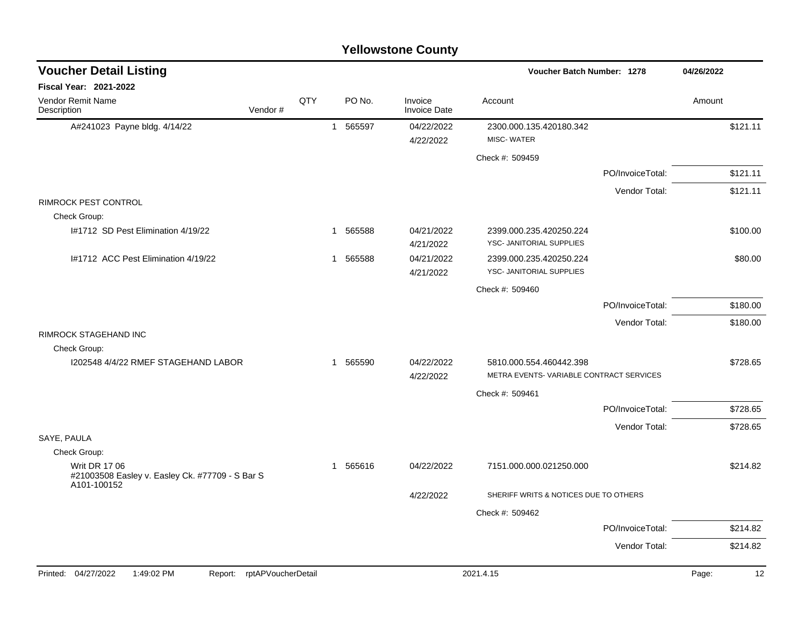|                                                                |                            |     |             | <b>Yellowstone County</b>      |                                                     |                  |             |
|----------------------------------------------------------------|----------------------------|-----|-------------|--------------------------------|-----------------------------------------------------|------------------|-------------|
| <b>Voucher Detail Listing</b>                                  |                            |     |             |                                | Voucher Batch Number: 1278                          |                  | 04/26/2022  |
| <b>Fiscal Year: 2021-2022</b>                                  |                            |     |             |                                |                                                     |                  |             |
| Vendor Remit Name<br>Description                               | Vendor#                    | QTY | PO No.      | Invoice<br><b>Invoice Date</b> | Account                                             |                  | Amount      |
| A#241023 Payne bldg. 4/14/22                                   |                            |     | 565597<br>1 | 04/22/2022                     | 2300.000.135.420180.342                             |                  | \$121.11    |
|                                                                |                            |     |             | 4/22/2022                      | MISC-WATER                                          |                  |             |
|                                                                |                            |     |             |                                | Check #: 509459                                     |                  |             |
|                                                                |                            |     |             |                                |                                                     | PO/InvoiceTotal: | \$121.11    |
|                                                                |                            |     |             |                                |                                                     | Vendor Total:    | \$121.11    |
| <b>RIMROCK PEST CONTROL</b>                                    |                            |     |             |                                |                                                     |                  |             |
| Check Group:                                                   |                            |     |             |                                |                                                     |                  |             |
| I#1712 SD Pest Elimination 4/19/22                             |                            |     | 565588<br>1 | 04/21/2022<br>4/21/2022        | 2399.000.235.420250.224<br>YSC- JANITORIAL SUPPLIES |                  | \$100.00    |
| I#1712 ACC Pest Elimination 4/19/22                            |                            |     | 565588<br>1 | 04/21/2022                     | 2399.000.235.420250.224                             |                  | \$80.00     |
|                                                                |                            |     |             | 4/21/2022                      | YSC- JANITORIAL SUPPLIES                            |                  |             |
|                                                                |                            |     |             |                                | Check #: 509460                                     |                  |             |
|                                                                |                            |     |             |                                |                                                     | PO/InvoiceTotal: | \$180.00    |
|                                                                |                            |     |             |                                |                                                     | Vendor Total:    | \$180.00    |
| RIMROCK STAGEHAND INC                                          |                            |     |             |                                |                                                     |                  |             |
| Check Group:                                                   |                            |     |             |                                |                                                     |                  |             |
| I202548 4/4/22 RMEF STAGEHAND LABOR                            |                            |     | 1 565590    | 04/22/2022                     | 5810.000.554.460442.398                             |                  | \$728.65    |
|                                                                |                            |     |             | 4/22/2022                      | METRA EVENTS-VARIABLE CONTRACT SERVICES             |                  |             |
|                                                                |                            |     |             |                                | Check #: 509461                                     |                  |             |
|                                                                |                            |     |             |                                |                                                     | PO/InvoiceTotal: | \$728.65    |
| SAYE, PAULA                                                    |                            |     |             |                                |                                                     | Vendor Total:    | \$728.65    |
| Check Group:                                                   |                            |     |             |                                |                                                     |                  |             |
| <b>Writ DR 17 06</b>                                           |                            |     | 565616<br>1 | 04/22/2022                     | 7151.000.000.021250.000                             |                  | \$214.82    |
| #21003508 Easley v. Easley Ck. #77709 - S Bar S<br>A101-100152 |                            |     |             |                                |                                                     |                  |             |
|                                                                |                            |     |             | 4/22/2022                      | SHERIFF WRITS & NOTICES DUE TO OTHERS               |                  |             |
|                                                                |                            |     |             |                                | Check #: 509462                                     |                  |             |
|                                                                |                            |     |             |                                |                                                     | PO/InvoiceTotal: | \$214.82    |
|                                                                |                            |     |             |                                |                                                     | Vendor Total:    | \$214.82    |
|                                                                |                            |     |             |                                |                                                     |                  |             |
| 1:49:02 PM<br>Printed: 04/27/2022                              | Report: rptAPVoucherDetail |     |             |                                | 2021.4.15                                           |                  | Page:<br>12 |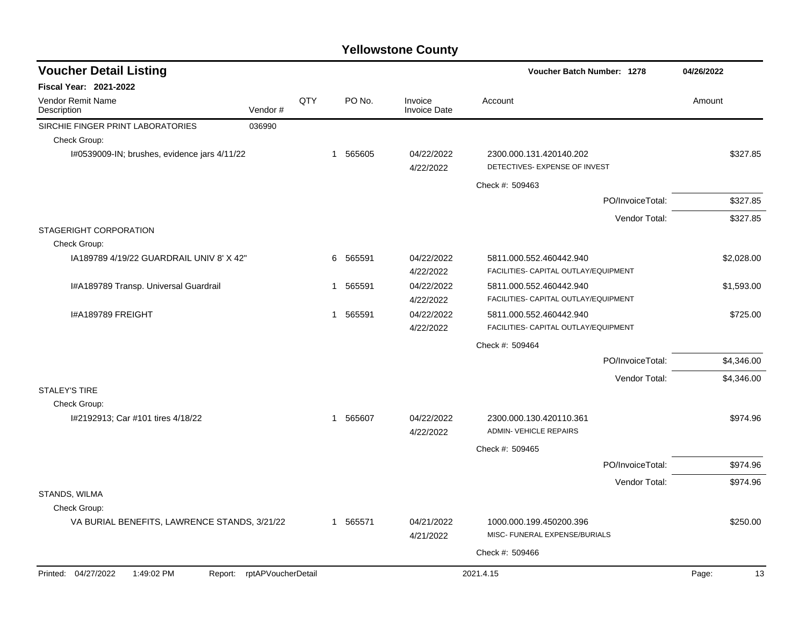| <b>Voucher Detail Listing</b>                |                    |     |   |          |                                | Voucher Batch Number: 1278                                      |                  | 04/26/2022 |            |
|----------------------------------------------|--------------------|-----|---|----------|--------------------------------|-----------------------------------------------------------------|------------------|------------|------------|
| <b>Fiscal Year: 2021-2022</b>                |                    |     |   |          |                                |                                                                 |                  |            |            |
| Vendor Remit Name<br>Description             | Vendor#            | QTY |   | PO No.   | Invoice<br><b>Invoice Date</b> | Account                                                         |                  | Amount     |            |
| SIRCHIE FINGER PRINT LABORATORIES            | 036990             |     |   |          |                                |                                                                 |                  |            |            |
| Check Group:                                 |                    |     |   |          |                                |                                                                 |                  |            |            |
| I#0539009-IN; brushes, evidence jars 4/11/22 |                    |     |   | 1 565605 | 04/22/2022<br>4/22/2022        | 2300.000.131.420140.202<br>DETECTIVES- EXPENSE OF INVEST        |                  |            | \$327.85   |
|                                              |                    |     |   |          |                                | Check #: 509463                                                 |                  |            |            |
|                                              |                    |     |   |          |                                |                                                                 | PO/InvoiceTotal: |            | \$327.85   |
|                                              |                    |     |   |          |                                |                                                                 | Vendor Total:    |            | \$327.85   |
| STAGERIGHT CORPORATION                       |                    |     |   |          |                                |                                                                 |                  |            |            |
| Check Group:                                 |                    |     |   |          |                                |                                                                 |                  |            |            |
| 1A189789 4/19/22 GUARDRAIL UNIV 8' X 42"     |                    |     | 6 | 565591   | 04/22/2022<br>4/22/2022        | 5811.000.552.460442.940<br>FACILITIES- CAPITAL OUTLAY/EQUIPMENT |                  |            | \$2,028.00 |
| I#A189789 Transp. Universal Guardrail        |                    |     |   | 1 565591 | 04/22/2022                     | 5811.000.552.460442.940                                         |                  |            | \$1,593.00 |
|                                              |                    |     |   |          | 4/22/2022                      | FACILITIES- CAPITAL OUTLAY/EQUIPMENT                            |                  |            |            |
| I#A189789 FREIGHT                            |                    |     |   | 1 565591 | 04/22/2022                     | 5811.000.552.460442.940                                         |                  |            | \$725.00   |
|                                              |                    |     |   |          | 4/22/2022                      | FACILITIES- CAPITAL OUTLAY/EQUIPMENT                            |                  |            |            |
|                                              |                    |     |   |          |                                | Check #: 509464                                                 |                  |            |            |
|                                              |                    |     |   |          |                                |                                                                 | PO/InvoiceTotal: |            | \$4,346.00 |
|                                              |                    |     |   |          |                                |                                                                 | Vendor Total:    |            | \$4,346.00 |
| <b>STALEY'S TIRE</b>                         |                    |     |   |          |                                |                                                                 |                  |            |            |
| Check Group:                                 |                    |     |   |          |                                |                                                                 |                  |            |            |
| I#2192913; Car #101 tires 4/18/22            |                    |     |   | 1 565607 | 04/22/2022<br>4/22/2022        | 2300.000.130.420110.361<br><b>ADMIN- VEHICLE REPAIRS</b>        |                  |            | \$974.96   |
|                                              |                    |     |   |          |                                | Check #: 509465                                                 |                  |            |            |
|                                              |                    |     |   |          |                                |                                                                 | PO/InvoiceTotal: |            | \$974.96   |
|                                              |                    |     |   |          |                                |                                                                 | Vendor Total:    |            | \$974.96   |
| STANDS, WILMA                                |                    |     |   |          |                                |                                                                 |                  |            |            |
| Check Group:                                 |                    |     |   |          |                                |                                                                 |                  |            |            |
| VA BURIAL BENEFITS, LAWRENCE STANDS, 3/21/22 |                    |     |   | 1 565571 | 04/21/2022                     | 1000.000.199.450200.396                                         |                  |            | \$250.00   |
|                                              |                    |     |   |          | 4/21/2022                      | MISC- FUNERAL EXPENSE/BURIALS                                   |                  |            |            |
|                                              |                    |     |   |          |                                | Check #: 509466                                                 |                  |            |            |
| Printed: 04/27/2022<br>1:49:02 PM<br>Report: | rptAPVoucherDetail |     |   |          |                                | 2021.4.15                                                       |                  | Page:      | 13         |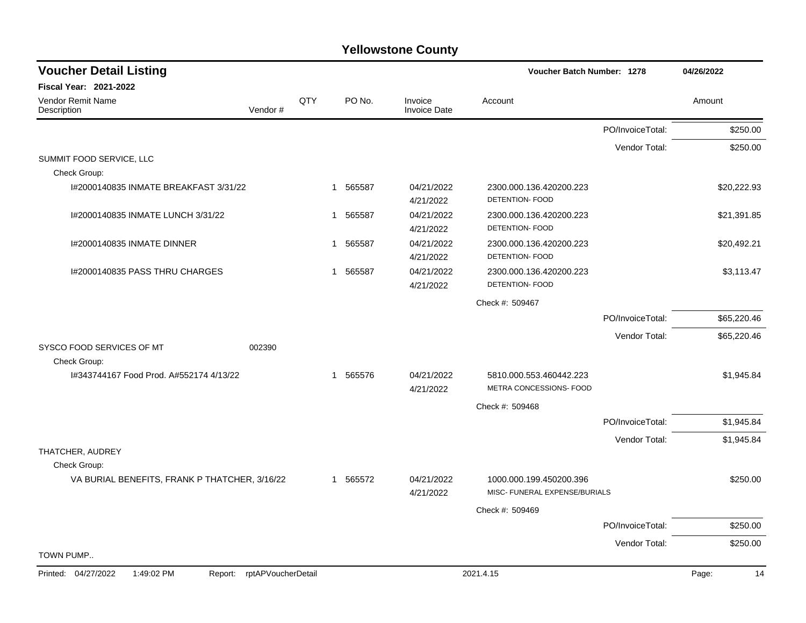| <b>Voucher Detail Listing</b>                                      |     |                       |                                | Voucher Batch Number: 1278                               |                  | 04/26/2022  |
|--------------------------------------------------------------------|-----|-----------------------|--------------------------------|----------------------------------------------------------|------------------|-------------|
| <b>Fiscal Year: 2021-2022</b>                                      |     |                       |                                |                                                          |                  |             |
| <b>Vendor Remit Name</b><br>Vendor#<br>Description                 | QTY | PO No.                | Invoice<br><b>Invoice Date</b> | Account                                                  |                  | Amount      |
|                                                                    |     |                       |                                |                                                          | PO/InvoiceTotal: | \$250.00    |
|                                                                    |     |                       |                                |                                                          | Vendor Total:    | \$250.00    |
| SUMMIT FOOD SERVICE, LLC<br>Check Group:                           |     |                       |                                |                                                          |                  |             |
| I#2000140835 INMATE BREAKFAST 3/31/22                              |     | 565587<br>$\mathbf 1$ | 04/21/2022<br>4/21/2022        | 2300.000.136.420200.223<br>DETENTION- FOOD               |                  | \$20,222.93 |
| I#2000140835 INMATE LUNCH 3/31/22                                  | -1  | 565587                | 04/21/2022<br>4/21/2022        | 2300.000.136.420200.223<br>DETENTION- FOOD               |                  | \$21,391.85 |
| I#2000140835 INMATE DINNER                                         | 1   | 565587                | 04/21/2022<br>4/21/2022        | 2300.000.136.420200.223<br>DETENTION- FOOD               |                  | \$20,492.21 |
| I#2000140835 PASS THRU CHARGES                                     |     | 1 565587              | 04/21/2022<br>4/21/2022        | 2300.000.136.420200.223<br>DETENTION- FOOD               |                  | \$3,113.47  |
|                                                                    |     |                       |                                | Check #: 509467                                          |                  |             |
|                                                                    |     |                       |                                |                                                          | PO/InvoiceTotal: | \$65,220.46 |
|                                                                    |     |                       |                                |                                                          | Vendor Total:    | \$65,220.46 |
| SYSCO FOOD SERVICES OF MT<br>002390<br>Check Group:                |     |                       |                                |                                                          |                  |             |
| I#343744167 Food Prod. A#552174 4/13/22                            |     | 1 565576              | 04/21/2022<br>4/21/2022        | 5810.000.553.460442.223<br>METRA CONCESSIONS- FOOD       |                  | \$1,945.84  |
|                                                                    |     |                       |                                | Check #: 509468                                          |                  |             |
|                                                                    |     |                       |                                |                                                          | PO/InvoiceTotal: | \$1,945.84  |
|                                                                    |     |                       |                                |                                                          | Vendor Total:    | \$1,945.84  |
| THATCHER, AUDREY<br>Check Group:                                   |     |                       |                                |                                                          |                  |             |
| VA BURIAL BENEFITS, FRANK P THATCHER, 3/16/22                      |     | 1 565572              | 04/21/2022<br>4/21/2022        | 1000.000.199.450200.396<br>MISC- FUNERAL EXPENSE/BURIALS |                  | \$250.00    |
|                                                                    |     |                       |                                | Check #: 509469                                          |                  |             |
|                                                                    |     |                       |                                |                                                          | PO/InvoiceTotal: | \$250.00    |
|                                                                    |     |                       |                                |                                                          | Vendor Total:    | \$250.00    |
| TOWN PUMP                                                          |     |                       |                                |                                                          |                  |             |
| Printed: 04/27/2022<br>1:49:02 PM<br>rptAPVoucherDetail<br>Report: |     |                       |                                | 2021.4.15                                                |                  | Page:<br>14 |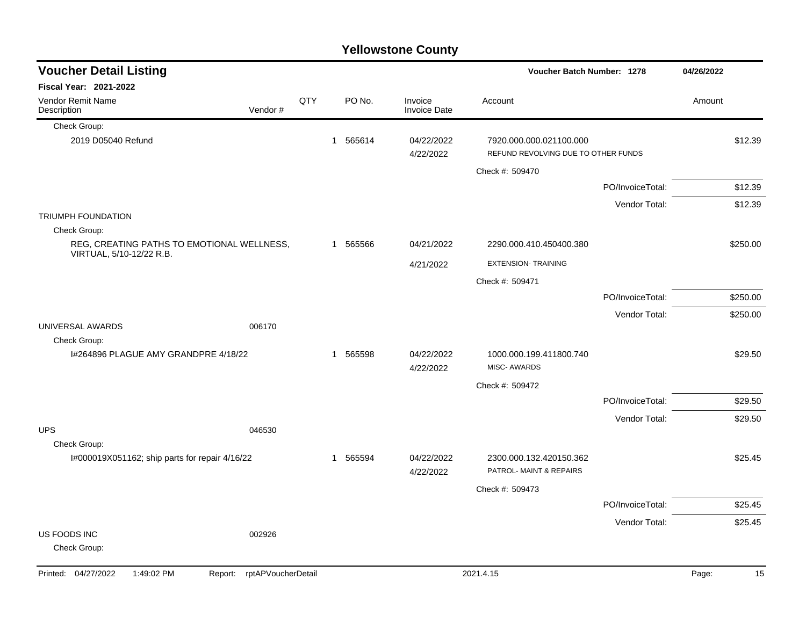|                                                                    |     |              | <b>Yellowstone County</b>      |                                                                |                  |             |
|--------------------------------------------------------------------|-----|--------------|--------------------------------|----------------------------------------------------------------|------------------|-------------|
| <b>Voucher Detail Listing</b>                                      |     |              |                                | Voucher Batch Number: 1278                                     |                  | 04/26/2022  |
| <b>Fiscal Year: 2021-2022</b>                                      |     |              |                                |                                                                |                  |             |
| Vendor Remit Name<br>Vendor#<br>Description                        | QTY | PO No.       | Invoice<br><b>Invoice Date</b> | Account                                                        |                  | Amount      |
| Check Group:                                                       |     |              |                                |                                                                |                  |             |
| 2019 D05040 Refund                                                 |     | 565614<br>1  | 04/22/2022<br>4/22/2022        | 7920.000.000.021100.000<br>REFUND REVOLVING DUE TO OTHER FUNDS |                  | \$12.39     |
|                                                                    |     |              |                                | Check #: 509470                                                |                  |             |
|                                                                    |     |              |                                |                                                                | PO/InvoiceTotal: | \$12.39     |
|                                                                    |     |              |                                |                                                                | Vendor Total:    | \$12.39     |
| TRIUMPH FOUNDATION                                                 |     |              |                                |                                                                |                  |             |
| Check Group:<br>REG, CREATING PATHS TO EMOTIONAL WELLNESS,         |     | 565566<br>1  | 04/21/2022                     | 2290.000.410.450400.380                                        |                  | \$250.00    |
| VIRTUAL, 5/10-12/22 R.B.                                           |     |              |                                |                                                                |                  |             |
|                                                                    |     |              | 4/21/2022                      | <b>EXTENSION- TRAINING</b>                                     |                  |             |
|                                                                    |     |              |                                | Check #: 509471                                                |                  |             |
|                                                                    |     |              |                                |                                                                | PO/InvoiceTotal: | \$250.00    |
| 006170<br>UNIVERSAL AWARDS                                         |     |              |                                |                                                                | Vendor Total:    | \$250.00    |
| Check Group:                                                       |     |              |                                |                                                                |                  |             |
| I#264896 PLAGUE AMY GRANDPRE 4/18/22                               |     | 565598<br>1  | 04/22/2022                     | 1000.000.199.411800.740                                        |                  | \$29.50     |
|                                                                    |     |              | 4/22/2022                      | <b>MISC-AWARDS</b>                                             |                  |             |
|                                                                    |     |              |                                | Check #: 509472                                                |                  |             |
|                                                                    |     |              |                                |                                                                | PO/InvoiceTotal: | \$29.50     |
|                                                                    |     |              |                                |                                                                | Vendor Total:    | \$29.50     |
| <b>UPS</b><br>046530                                               |     |              |                                |                                                                |                  |             |
| Check Group:<br>I#000019X051162; ship parts for repair 4/16/22     |     | 565594<br>-1 | 04/22/2022                     | 2300.000.132.420150.362                                        |                  | \$25.45     |
|                                                                    |     |              | 4/22/2022                      | PATROL- MAINT & REPAIRS                                        |                  |             |
|                                                                    |     |              |                                | Check #: 509473                                                |                  |             |
|                                                                    |     |              |                                |                                                                | PO/InvoiceTotal: | \$25.45     |
|                                                                    |     |              |                                |                                                                | Vendor Total:    | \$25.45     |
| US FOODS INC<br>002926                                             |     |              |                                |                                                                |                  |             |
| Check Group:                                                       |     |              |                                |                                                                |                  |             |
| Printed: 04/27/2022<br>1:49:02 PM<br>rptAPVoucherDetail<br>Report: |     |              |                                | 2021.4.15                                                      |                  | Page:<br>15 |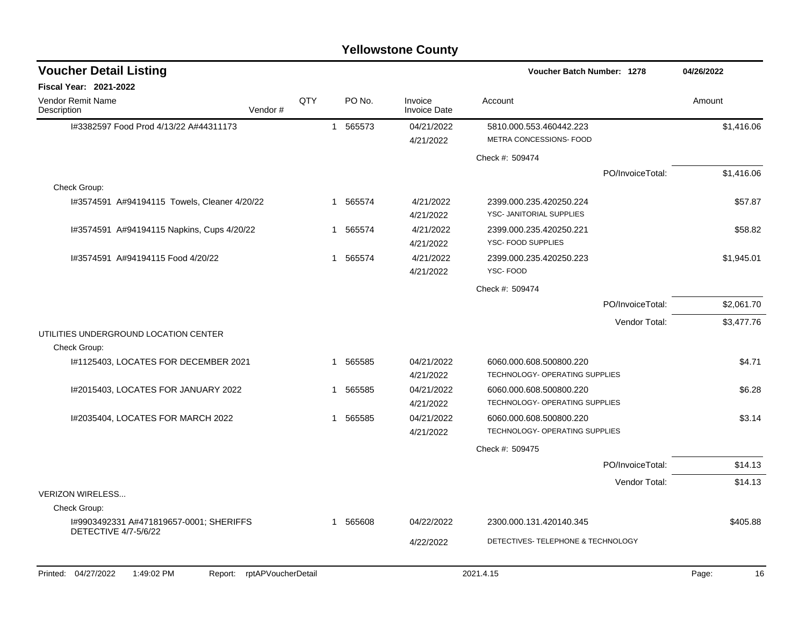| QTY | PO No. | Invoice<br><b>Invoice Date</b>                                                 | Account                                             | Amount                                                                                                                                                                                                |
|-----|--------|--------------------------------------------------------------------------------|-----------------------------------------------------|-------------------------------------------------------------------------------------------------------------------------------------------------------------------------------------------------------|
|     |        | 04/21/2022<br>4/21/2022                                                        | 5810.000.553.460442.223<br>METRA CONCESSIONS- FOOD  | \$1,416.06                                                                                                                                                                                            |
|     |        |                                                                                | Check #: 509474                                     |                                                                                                                                                                                                       |
|     |        |                                                                                |                                                     | \$1,416.06                                                                                                                                                                                            |
|     |        |                                                                                |                                                     |                                                                                                                                                                                                       |
|     |        | 4/21/2022<br>4/21/2022                                                         | 2399.000.235.420250.224<br>YSC- JANITORIAL SUPPLIES | \$57.87                                                                                                                                                                                               |
|     |        | 4/21/2022<br>4/21/2022                                                         | 2399.000.235.420250.221<br>YSC- FOOD SUPPLIES       | \$58.82                                                                                                                                                                                               |
|     | 565574 | 4/21/2022<br>4/21/2022                                                         | 2399.000.235.420250.223<br>YSC-FOOD                 | \$1,945.01                                                                                                                                                                                            |
|     |        |                                                                                | Check #: 509474                                     |                                                                                                                                                                                                       |
|     |        |                                                                                |                                                     | \$2,061.70                                                                                                                                                                                            |
|     |        |                                                                                |                                                     | \$3,477.76                                                                                                                                                                                            |
|     |        |                                                                                |                                                     |                                                                                                                                                                                                       |
|     | 565585 | 04/21/2022                                                                     | 6060.000.608.500800.220                             | \$4.71                                                                                                                                                                                                |
|     |        |                                                                                |                                                     |                                                                                                                                                                                                       |
|     | 565585 |                                                                                | 6060.000.608.500800.220                             | \$6.28                                                                                                                                                                                                |
|     |        |                                                                                |                                                     |                                                                                                                                                                                                       |
|     |        | 4/21/2022                                                                      | TECHNOLOGY- OPERATING SUPPLIES                      | \$3.14                                                                                                                                                                                                |
|     |        |                                                                                | Check #: 509475                                     |                                                                                                                                                                                                       |
|     |        |                                                                                |                                                     | \$14.13                                                                                                                                                                                               |
|     |        |                                                                                |                                                     | \$14.13                                                                                                                                                                                               |
|     |        |                                                                                |                                                     |                                                                                                                                                                                                       |
|     |        |                                                                                |                                                     |                                                                                                                                                                                                       |
|     | 565608 | 04/22/2022                                                                     | 2300.000.131.420140.345                             | \$405.88                                                                                                                                                                                              |
|     |        | 4/22/2022                                                                      | DETECTIVES- TELEPHONE & TECHNOLOGY                  |                                                                                                                                                                                                       |
|     | $\sim$ | 1 565573<br>1 565574<br>1 565574<br>1<br>$\mathbf 1$<br>1<br>565585<br>-1<br>1 | 4/21/2022<br>04/21/2022<br>4/21/2022<br>04/21/2022  | PO/InvoiceTotal:<br>PO/InvoiceTotal:<br>Vendor Total:<br>TECHNOLOGY- OPERATING SUPPLIES<br>TECHNOLOGY- OPERATING SUPPLIES<br>6060.000.608.500800.220<br>PO/InvoiceTotal:<br>Vendor Total:<br>0.001117 |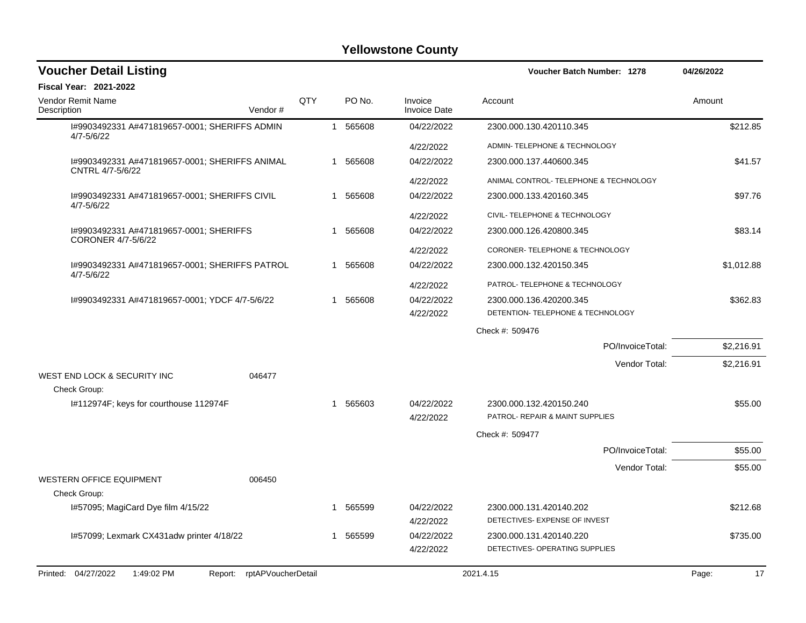| <b>Voucher Detail Listing</b>                                      |     |   |          |                                | <b>Voucher Batch Number: 1278</b>                        | 04/26/2022  |
|--------------------------------------------------------------------|-----|---|----------|--------------------------------|----------------------------------------------------------|-------------|
| <b>Fiscal Year: 2021-2022</b>                                      |     |   |          |                                |                                                          |             |
| <b>Vendor Remit Name</b><br>Description<br>Vendor#                 | QTY |   | PO No.   | Invoice<br><b>Invoice Date</b> | Account                                                  | Amount      |
| I#9903492331 A#471819657-0001; SHERIFFS ADMIN<br>$4/7 - 5/6/22$    |     |   | 1 565608 | 04/22/2022                     | 2300.000.130.420110.345                                  | \$212.85    |
|                                                                    |     |   |          | 4/22/2022                      | ADMIN- TELEPHONE & TECHNOLOGY                            |             |
| I#9903492331 A#471819657-0001; SHERIFFS ANIMAL<br>CNTRL 4/7-5/6/22 |     |   | 1 565608 | 04/22/2022                     | 2300.000.137.440600.345                                  | \$41.57     |
|                                                                    |     |   |          | 4/22/2022                      | ANIMAL CONTROL- TELEPHONE & TECHNOLOGY                   |             |
| 1#9903492331 A#471819657-0001; SHERIFFS CIVIL<br>$4/7 - 5/6/22$    |     |   | 1 565608 | 04/22/2022                     | 2300.000.133.420160.345                                  | \$97.76     |
|                                                                    |     |   |          | 4/22/2022                      | CIVIL- TELEPHONE & TECHNOLOGY                            |             |
| 1#9903492331 A#471819657-0001; SHERIFFS<br>CORONER 4/7-5/6/22      |     |   | 1 565608 | 04/22/2022                     | 2300.000.126.420800.345                                  | \$83.14     |
|                                                                    |     |   |          | 4/22/2022                      | CORONER-TELEPHONE & TECHNOLOGY                           |             |
| I#9903492331 A#471819657-0001; SHERIFFS PATROL<br>$4/7 - 5/6/22$   |     |   | 1 565608 | 04/22/2022                     | 2300.000.132.420150.345                                  | \$1,012.88  |
|                                                                    |     |   |          | 4/22/2022                      | PATROL- TELEPHONE & TECHNOLOGY                           |             |
| I#9903492331 A#471819657-0001; YDCF 4/7-5/6/22                     |     | 1 | 565608   | 04/22/2022                     | 2300.000.136.420200.345                                  | \$362.83    |
|                                                                    |     |   |          | 4/22/2022                      | DETENTION- TELEPHONE & TECHNOLOGY                        |             |
|                                                                    |     |   |          |                                | Check #: 509476                                          |             |
|                                                                    |     |   |          |                                | PO/InvoiceTotal:                                         | \$2,216.91  |
|                                                                    |     |   |          |                                | Vendor Total:                                            | \$2,216.91  |
| WEST END LOCK & SECURITY INC<br>046477                             |     |   |          |                                |                                                          |             |
| Check Group:<br>I#112974F; keys for courthouse 112974F             |     | 1 | 565603   | 04/22/2022                     | 2300.000.132.420150.240                                  | \$55.00     |
|                                                                    |     |   |          | 4/22/2022                      | PATROL- REPAIR & MAINT SUPPLIES                          |             |
|                                                                    |     |   |          |                                | Check #: 509477                                          |             |
|                                                                    |     |   |          |                                | PO/InvoiceTotal:                                         | \$55.00     |
|                                                                    |     |   |          |                                | Vendor Total:                                            | \$55.00     |
| <b>WESTERN OFFICE EQUIPMENT</b><br>006450                          |     |   |          |                                |                                                          |             |
| Check Group:                                                       |     |   |          |                                |                                                          |             |
| I#57095; MagiCard Dye film 4/15/22                                 |     | 1 | 565599   | 04/22/2022<br>4/22/2022        | 2300.000.131.420140.202<br>DETECTIVES- EXPENSE OF INVEST | \$212.68    |
| I#57099; Lexmark CX431adw printer 4/18/22                          |     | 1 | 565599   | 04/22/2022                     | 2300.000.131.420140.220                                  | \$735.00    |
|                                                                    |     |   |          | 4/22/2022                      | DETECTIVES- OPERATING SUPPLIES                           |             |
| Printed: 04/27/2022<br>1:49:02 PM<br>Report: rptAPVoucherDetail    |     |   |          |                                | 2021.4.15                                                | 17<br>Page: |